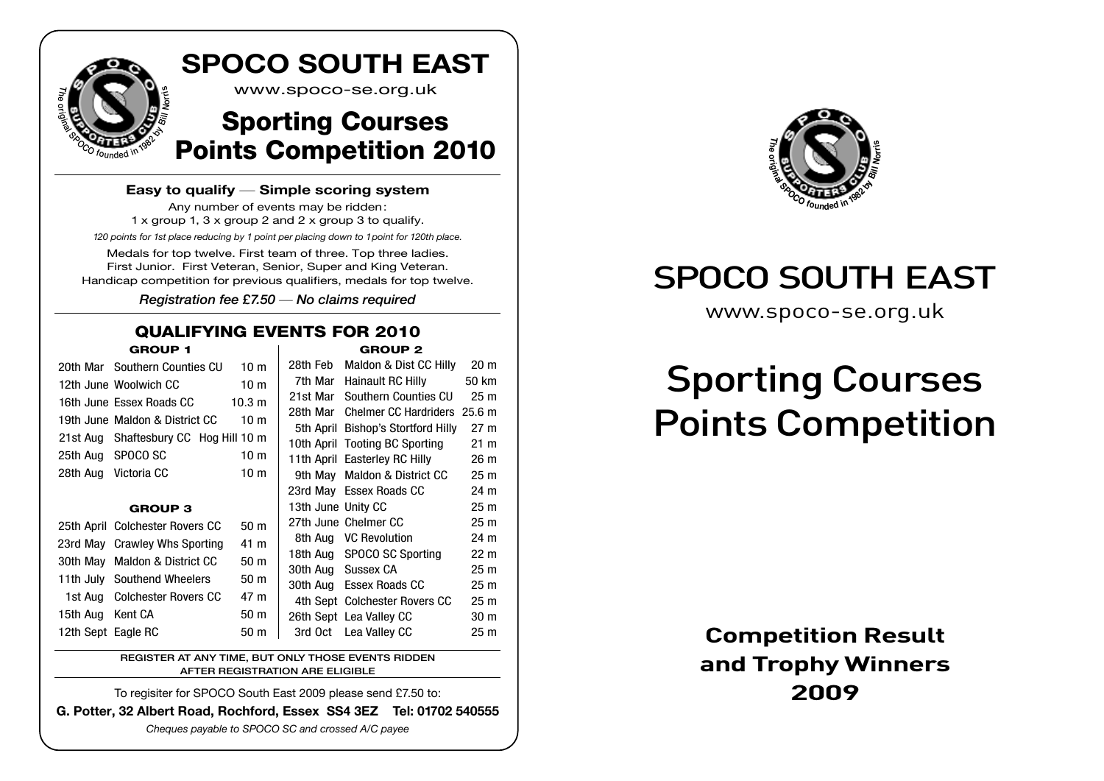

#### **Easy to qualify** — **Simple scoring system**

Any number of events may be ridden: 1 x group 1, 3 x group 2 and 2 x group 3 to qualify. *120 points for 1st place reducing by 1 point per placing down to 1point for 120th place.* Medals for top twelve. First team of three. Top three ladies. First Junior. First Veteran, Senior, Super and King Veteran. Handicap competition for previous qualifiers, medals for top twelve.

Registration fee £7.50 *—* No claims required

#### QUALIFYING EVENTS FOR 2010 GROUP 1 GROUP 2

|                    | 20th Mar Southern Counties CU         | 10 <sub>m</sub>   | 28th Feb | Maldon & Dist CC Hilly                | 20 <sub>m</sub> |  |
|--------------------|---------------------------------------|-------------------|----------|---------------------------------------|-----------------|--|
|                    | 12th June Woolwich CC                 | 10 <sub>m</sub>   | 7th Mar  | Hainault RC Hilly                     | 50 km           |  |
|                    | 16th June Essex Roads CC              | 10.3 <sub>m</sub> | 21st Mar | Southern Counties CU                  | 25 <sub>m</sub> |  |
|                    | 19th June Maldon & District CC        | 10 <sub>m</sub>   |          | 28th Mar Chelmer CC Hardriders 25.6 m |                 |  |
|                    |                                       |                   |          | 5th April Bishop's Stortford Hilly    | 27 <sub>m</sub> |  |
|                    | 21st Aug Shaftesbury CC Hog Hill 10 m |                   |          | 10th April Tooting BC Sporting        | $21 \text{ m}$  |  |
| 25th Aug           | SPOCO SC                              | 10 <sub>m</sub>   |          | 11th April Easterley RC Hilly         | 26 <sub>m</sub> |  |
|                    | 28th Aug Victoria CC                  | 10 <sub>m</sub>   |          | 9th May Maldon & District CC          | 25 <sub>m</sub> |  |
|                    |                                       |                   |          | 23rd May Essex Roads CC               | 24 m            |  |
|                    | <b>GROUP 3</b>                        |                   |          | 13th June Unity CC                    | 25 <sub>m</sub> |  |
|                    | 25th April Colchester Rovers CC       | 50 <sub>m</sub>   |          | 27th June Chelmer CC                  | 25 <sub>m</sub> |  |
|                    | 23rd May Crawley Whs Sporting         | 41 m              |          | 8th Aug VC Revolution                 | 24 m            |  |
|                    | 30th May Maldon & District CC         | 50 <sub>m</sub>   |          | 18th Aug SPOCO SC Sporting            | 22 <sub>m</sub> |  |
|                    |                                       |                   |          | 30th Aug Sussex CA                    | 25 <sub>m</sub> |  |
|                    | 11th July Southend Wheelers           | 50 <sub>m</sub>   |          | 30th Aug Essex Roads CC               | 25 <sub>m</sub> |  |
|                    | 1st Aug Colchester Rovers CC          | 47 m              |          | 4th Sept Colchester Rovers CC         | 25 <sub>m</sub> |  |
| 15th Aug Kent CA   |                                       | 50 m              |          | 26th Sept Lea Valley CC               | 30 <sub>m</sub> |  |
| 12th Sept Eagle RC |                                       | 50 m              |          | 3rd Oct Lea Valley CC                 | 25 <sub>m</sub> |  |
|                    |                                       |                   |          |                                       |                 |  |

REGISTER AT ANY TIME, BUT ONLY THOSE EVENTS RIDDEN AFTER REGISTRATION ARE ELIGIBLE

To regisiter for SPOCO South East 2009 please send £7.50 to:

**G. Potter, 32 Albert Road, Rochford, Essex SS4 3EZ Tel: 01702 540555**

*Cheques payable to SPOCO SC and crossed A/C payee*



# SPOCO SOUTH EAST

www.spoco-se.org.uk

# Sporting Courses Points Competition

### **Competition Result and Trophy Winners 2009**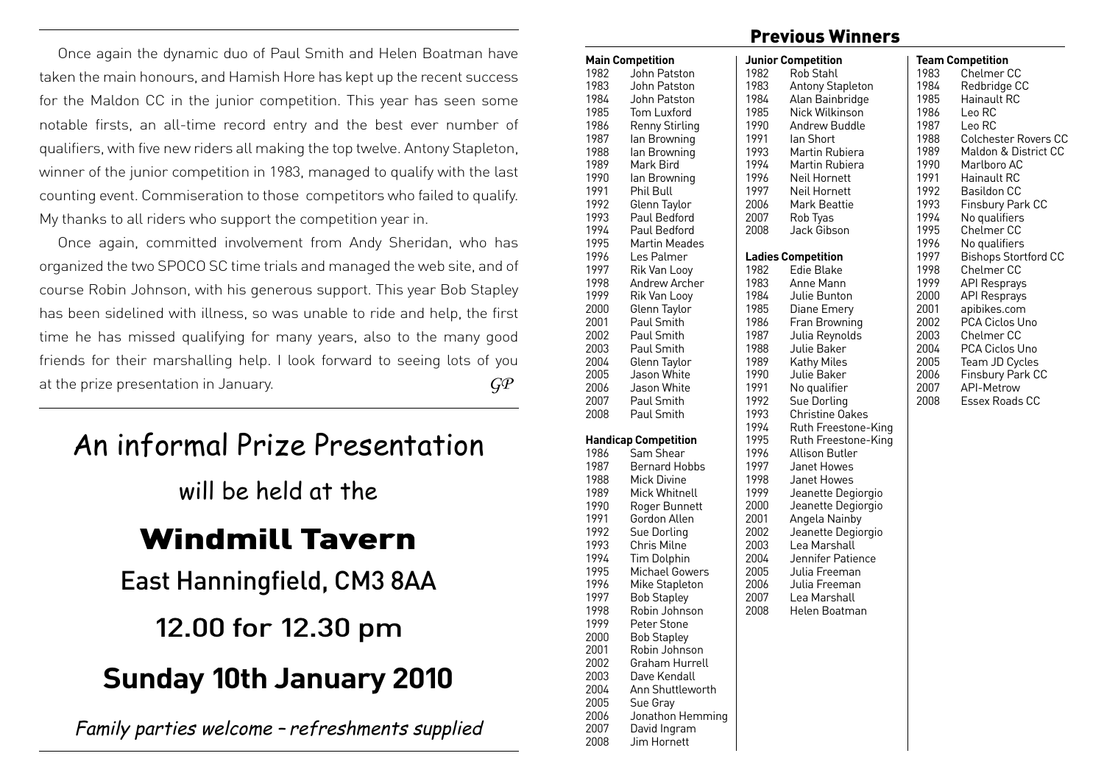Once again the dynamic duo of Paul Smith and Helen Boatman have taken the main honours, and Hamish Hore has kept up the recent success for the Maldon CC in the junior competition. This year has seen some notable firsts, an all-time record entry and the best ever number of qualifiers, with five new riders all making the top twelve. Antony Stapleton, winner of the junior competition in 1983, managed to qualify with the last counting event. Commiseration to those competitors who failed to qualify. My thanks to all riders who support the competition year in.

Once again, committed involvement from Andy Sheridan, who has organized the two SPOCO SC time trials and managed the web site, and of course Robin Johnson, with his generous support. This year Bob Stapley has been sidelined with illness, so was unable to ride and help, the first time he has missed qualifying for many years, also to the many good friends for their marshalling help. I look forward to seeing lots of you at the prize presentation in January. *GP*

# An informal Prize Presentation

will be held at the

# Windmill Tavern

East Hanningfield, CM3 8AA

## 12.00 for 12.30 pm

# **Sunday 10th January 2010**

Family parties welcome – refreshments supplied

#### Previous Winners

|      | <b>Main Competition</b>     |      | <b>Junior Competition</b> |
|------|-----------------------------|------|---------------------------|
| 1982 | John Patston                | 1982 | Rob Stahl                 |
| 1983 | John Patston                | 1983 | Antony Stapleton          |
| 1984 | John Patston                | 1984 | Alan Bainbridge           |
| 1985 | Tom Luxford                 | 1985 | Nick Wilkinson            |
| 1986 | <b>Renny Stirling</b>       | 1990 | Andrew Buddle             |
| 1987 | lan Browning                | 1991 | lan Short                 |
| 1988 | lan Browning                | 1993 | Martin Rubiera            |
| 1989 | Mark Bird                   | 1994 | Martin Rubiera            |
| 1990 | lan Browning                | 1996 | <b>Neil Hornett</b>       |
| 1991 | Phil Bull                   | 1997 | Neil Hornett              |
| 1992 | Glenn Taylor                | 2006 | Mark Beattie              |
| 1993 | Paul Bedford                | 2007 | Rob Tyas                  |
| 1994 | Paul Bedford                | 2008 | Jack Gibson               |
| 1995 | <b>Martin Meades</b>        |      |                           |
|      |                             |      |                           |
| 1996 | Les Palmer                  |      | <b>Ladies Competition</b> |
| 1997 | Rik Van Looy                | 1982 | Edie Blake                |
| 1998 | Andrew Archer               | 1983 | Anne Mann                 |
| 1999 | Rik Van Looy                | 1984 | Julie Bunton              |
| 2000 | Glenn Taylor                | 1985 | Diane Emery               |
| 2001 | Paul Smith                  | 1986 | Fran Browning             |
| 2002 | Paul Smith                  | 1987 | Julia Reynolds            |
| 2003 | Paul Smith                  | 1988 | Julie Baker               |
| 2004 | Glenn Taylor                | 1989 | Kathy Miles               |
| 2005 | Jason White                 | 1990 | Julie Baker               |
| 2006 | Jason White                 | 1991 | No qualifier              |
| 2007 | Paul Smith                  | 1992 | Sue Dorling               |
| 2008 | Paul Smith                  | 1993 | <b>Christine Oakes</b>    |
|      |                             | 1994 | Ruth Freestone-King       |
|      | <b>Handicap Competition</b> | 1995 | Ruth Freestone-King       |
| 1986 | Sam Shear                   | 1996 | Allison Butler            |
| 1987 | Bernard Hobbs               | 1997 | Janet Howes               |
| 1988 | Mick Divine                 | 1998 | Janet Howes               |
| 1989 | Mick Whitnell               | 1999 | Jeanette Degiorgio        |
| 1990 | Roger Bunnett               | 2000 | Jeanette Degiorgio        |
| 1991 | Gordon Allen                | 2001 | Angela Nainby             |
| 1992 | Sue Dorling                 | 2002 | Jeanette Degiorgio        |
| 1993 | <b>Chris Milne</b>          | 2003 | Lea Marshall              |
| 1994 | <b>Tim Dolphin</b>          | 2004 | Jennifer Patience         |
| 1995 | Michael Gowers              | 2005 | Julia Freeman             |
| 1996 | Mike Stapleton              | 2006 | Julia Freeman             |
| 1997 | <b>Bob Stapley</b>          | 2007 | Lea Marshall              |
| 1998 | Robin Johnson               | 2008 | Helen Boatman             |
| 1999 | Peter Stone                 |      |                           |
| 2000 | <b>Bob Stapley</b>          |      |                           |
| 2001 | Robin Johnson               |      |                           |
|      |                             |      |                           |
| 2002 | Graham Hurrell              |      |                           |
| 2003 | Dave Kendall                |      |                           |
| 2004 | Ann Shuttleworth            |      |                           |
| 2005 | Sue Gray                    |      |                           |
| 2006 | Jonathon Hemming            |      |                           |
| 2007 | David Ingram                |      |                           |
| 2008 | Jim Hornett                 |      |                           |

|      | <b>Team Competition</b>     |
|------|-----------------------------|
| 1983 | Chelmer CC                  |
| 1984 | Redbridge CC                |
| 1985 | Hainault RC                 |
| 1986 | Leo RC                      |
| 1987 | Leo RC                      |
| 1988 | <b>Colchester Rovers CC</b> |
| 1989 | Maldon & District CC        |
| 1990 | Marlboro AC                 |
| 1991 | Hainault RC                 |
| 1992 | Basildon CC                 |
| 1993 | Finsbury Park CC            |
| 1994 | No qualifiers               |
| 1995 | <b>Chelmer CC</b>           |
| 1996 | No qualifiers               |
| 1997 | <b>Bishops Stortford CC</b> |
| 1998 | <b>Chelmer CC</b>           |
| 1999 | <b>API Resprays</b>         |
| 2000 | <b>API Resprays</b>         |
| 2001 | apibikes.com                |
| 2002 | PCA Ciclos Uno              |
| 2003 | Chelmer CC                  |
| 2004 | <b>PCA Ciclos Uno</b>       |
| 2005 | Team JD Cycles              |
| 2006 | Finsbury Park CC            |
| 2007 | <b>API-Metrow</b>           |
| 2008 | Essex Roads CC              |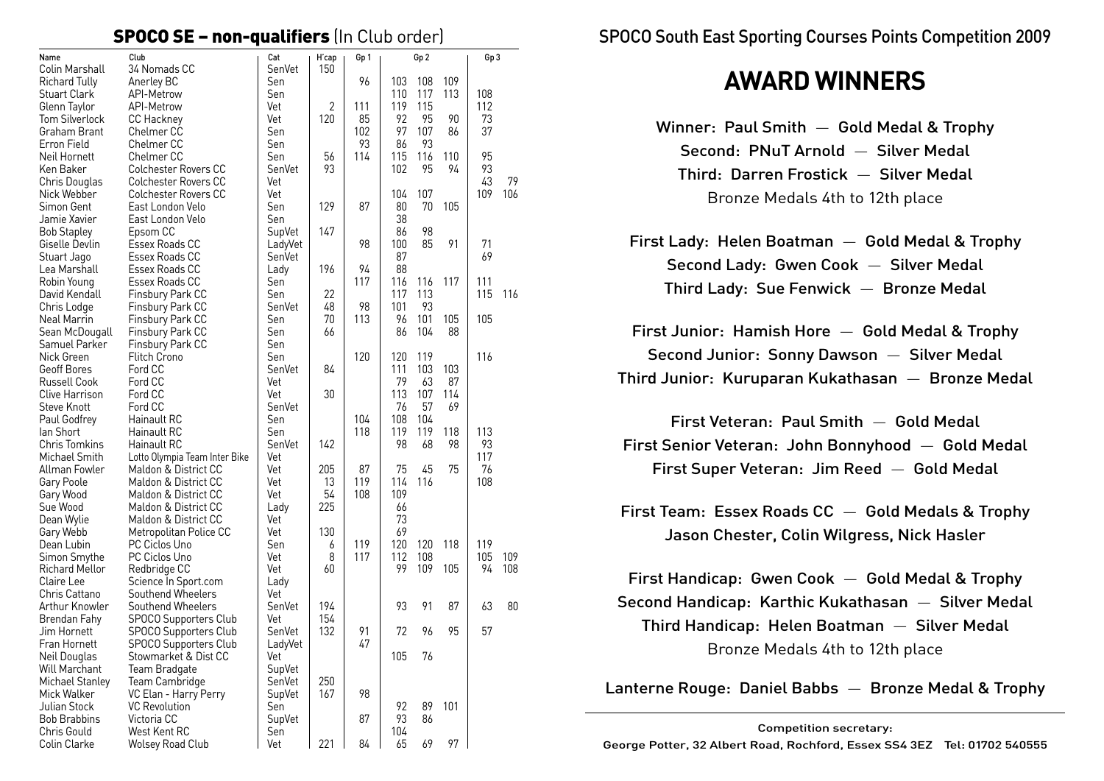#### SPOCO SE – non-qualifiers (In Club order)

| Name                         | Club                                       | Cat         | H'cap        | Gp 1      |           | Gp <sub>2</sub> |          | Gp 3     |     |
|------------------------------|--------------------------------------------|-------------|--------------|-----------|-----------|-----------------|----------|----------|-----|
| Colin Marshall               | 34 Nomads CC                               | SenVet      | 150          |           |           |                 |          |          |     |
| Richard Tully                | Anerley BC                                 | Sen         |              | 96        | 103       | 108             | 109      |          |     |
| <b>Stuart Clark</b>          | API-Metrow                                 | Sen         |              |           | 110       | 117             | 113      | 108      |     |
| Glenn Taylor                 | API-Metrow                                 | Vet         | $\mathbf{2}$ | 111       | 119       | 115             |          | 112      |     |
| Tom Silverlock               | <b>CC Hackney</b>                          | Vet         | 120          | 85        | 92<br>97  | 95              | 90<br>86 | 73<br>37 |     |
| Graham Brant                 | Chelmer <sub>CC</sub><br><b>Chelmer CC</b> | Sen         |              | 102<br>93 | 86        | 107<br>93       |          |          |     |
| Erron Field<br>Neil Hornett  | Chelmer CC                                 | Sen<br>Sen  | 56           | 114       | 115       | 116             | 110      | 95       |     |
| Ken Baker                    | <b>Colchester Rovers CC</b>                | SenVet      | 93           |           | 102       | 95              | 94       | 93       |     |
| Chris Douglas                | <b>Colchester Rovers CC</b>                | Vet         |              |           |           |                 |          | 43       | 79  |
| Nick Webber                  | <b>Colchester Rovers CC</b>                | Vet         |              |           | 104       | 107             |          | 109      | 106 |
| Simon Gent                   | East London Velo                           | Sen         | 129          | 87        | 80        | 70              | 105      |          |     |
| Jamie Xavier                 | East London Velo                           | Sen         |              |           | 38        |                 |          |          |     |
| <b>Bob Stapley</b>           | Epsom CC                                   | SupVet      | 147          |           | 86        | 98              |          |          |     |
| Giselle Devlin               | Essex Roads CC                             | LadyVet     |              | 98        | 100       | 85              | 91       | 71       |     |
| Stuart Jago                  | Essex Roads CC                             | SenVet      |              |           | 87        |                 |          | 69       |     |
| Lea Marshall                 | Essex Roads CC                             | Lady        | 196          | 94        | 88        |                 |          |          |     |
| Robin Young                  | Essex Roads CC                             | Sen         |              | 117       | 116       | 116             | 117      | 111      |     |
| David Kendall                | Finsbury Park CC                           | Sen         | 22           |           | 117       | 113             |          | 115      | 116 |
| Chris Lodge                  | Finsbury Park CC                           | SenVet      | 48           | 98        | 101       | 93              |          |          |     |
| Neal Marrin                  | Finsbury Park CC                           | Sen         | 70           | 113       | 96        | 101             | 105      | 105      |     |
| Sean McDougall               | Finsbury Park CC                           | Sen         | 66           |           | 86        | 104             | 88       |          |     |
| Samuel Parker                | Finsbury Park CC                           | Sen         |              |           |           |                 |          |          |     |
| Nick Green                   | <b>Flitch Crono</b>                        | Sen         |              | 120       | 120       | 119             |          | 116      |     |
| Geoff Bores                  | Ford CC                                    | SenVet      | 84           |           | 111       | 103             | 103      |          |     |
| <b>Russell Cook</b>          | Ford CC                                    | Vet         |              |           | 79        | 63              | 87       |          |     |
| Clive Harrison               | Ford CC                                    | Vet         | 30           |           | 113       | 107             | 114      |          |     |
| <b>Steve Knott</b>           | Ford CC                                    | SenVet      |              |           | 76        | 57              | 69       |          |     |
| Paul Godfrey                 | Hainault RC                                | Sen         |              | 104       | 108       | 104             |          |          |     |
| lan Short                    | Hainault RC                                | Sen         |              | 118       | 119       | 119             | 118      | 113      |     |
| <b>Chris Tomkins</b>         | Hainault RC                                | SenVet      | 142          |           | 98        | 68              | 98       | 93       |     |
| Michael Smith                | Lotto Olympia Team Inter Bike              | Vet         |              |           |           |                 |          | 117      |     |
| Allman Fowler                | Maldon & District CC                       | Vet         | 205          | 87        | 75        | 45              | 75       | 76       |     |
| Gary Poole                   | Maldon & District CC                       | Vet         | 13           | 119       | 114       | 116             |          | 108      |     |
| Gary Wood                    | Maldon & District CC                       | Vet         | 54           | 108       | 109       |                 |          |          |     |
| Sue Wood                     | Maldon & District CC                       | Lady        | 225          |           | 66        |                 |          |          |     |
| Dean Wylie                   | Maldon & District CC                       | Vet         |              |           | 73        |                 |          |          |     |
| Gary Webb                    | Metropolitan Police CC                     | Vet         | 130          |           | 69        |                 |          |          |     |
| Dean Lubin                   | PC Ciclos Uno                              | Sen         | 6            | 119       | 120       | 120             | 118      | 119      |     |
| Simon Smythe                 | PC Ciclos Uno                              | Vet         | 8            | 117       | 112<br>99 | 108             | 105      | 105      | 109 |
| Richard Mellor<br>Claire Lee | Redbridge CC                               | Vet         | 60           |           |           | 109             |          | 94       | 108 |
| Chris Cattano                | Science In Sport.com<br>Southend Wheelers  | Lady<br>Vet |              |           |           |                 |          |          |     |
| Arthur Knowler               | Southend Wheelers                          | SenVet      | 194          |           | 93        | 91              | 87       | 63       | 80  |
| Brendan Fahy                 | <b>SPOCO Supporters Club</b>               | Vet         | 154          |           |           |                 |          |          |     |
| Jim Hornett                  | <b>SPOCO Supporters Club</b>               | SenVet      | 132          | 91        | 72        | 96              | 95       | 57       |     |
| Fran Hornett                 | SPOCO Supporters Club                      | LadyVet     |              | 47        |           |                 |          |          |     |
| Neil Douglas                 | Stowmarket & Dist CC                       | Vet         |              |           | 105       | 76              |          |          |     |
| <b>Will Marchant</b>         | Team Bradgate                              | SupVet      |              |           |           |                 |          |          |     |
| Michael Stanley              | Team Cambridge                             | SenVet      | 250          |           |           |                 |          |          |     |
| Mick Walker                  | VC Elan - Harry Perry                      | SupVet      | 167          | 98        |           |                 |          |          |     |
| Julian Stock                 | <b>VC Revolution</b>                       | Sen         |              |           | 92        | 89              | 101      |          |     |
| <b>Bob Brabbins</b>          | Victoria CC                                | SupVet      |              | 87        | 93        | 86              |          |          |     |
| Chris Gould                  | West Kent RC                               | Sen         |              |           | 104       |                 |          |          |     |
| Colin Clarke                 | <b>Wolsey Road Club</b>                    | Vet         | 221          | 84        | 65        | 69              | 97       |          |     |

SPOCO South East Sporting Courses Points Competition 2009

## **AWARD WINNERS**

- Winner: Paul Smith Gold Medal & Trophy Second: PNuT Arnold — Silver Medal Third: Darren Frostick — Silver Medal Bronze Medals 4th to 12th place
- First Lady: Helen Boatman Gold Medal & Trophy Second Lady: Gwen Cook — Silver Medal Third Lady: Sue Fenwick — Bronze Medal

First Junior: Hamish Hore — Gold Medal & Trophy Second Junior: Sonny Dawson — Silver Medal Third Junior: Kuruparan Kukathasan — Bronze Medal

First Veteran: Paul Smith — Gold Medal First Senior Veteran: John Bonnyhood — Gold Medal First Super Veteran: Jim Reed — Gold Medal

First Team: Essex Roads CC — Gold Medals & Trophy Jason Chester, Colin Wilgress, Nick Hasler

First Handicap: Gwen Cook — Gold Medal & Trophy Second Handicap: Karthic Kukathasan — Silver Medal Third Handicap: Helen Boatman — Silver Medal Bronze Medals 4th to 12th place

Lanterne Rouge: Daniel Babbs — Bronze Medal & Trophy

Competition secretary: George Potter, 32 Albert Road, Rochford, Essex SS4 3EZ Tel: 01702 540555